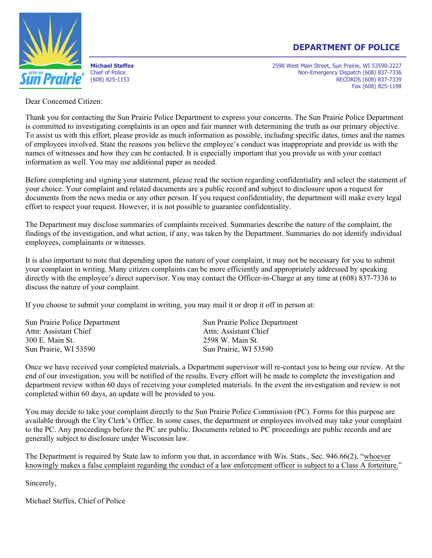#### **DEPARTMENT OF POLICE**



**Michael Steffes** 2598 West Main Street, Sun Prairie, WI 53590-2227 Chief of Police **Non-Emergency Dispatch (608) 837-7336** (608) 825-1153 RECORDS (608) 837-7339 Fax (608) 825-1198

Dear Concerned Citizen:

Thank you for contacting the Sun Prairie Police Department to express your concerns. The Sun Prairie Police Department is committed to investigating complaints in an open and fair manner with determining the truth as our primary objective. To assist us with this effort, please provide as much information as possible, including specific dates, times and the names of employees involved. State the reasons you believe the employee's conduct was inappropriate and provide us with the names of witnesses and how they can be contacted. It is especially important that you provide us with your contact information as well. You may use additional paper as needed.

Before completing and signing your statement, please read the section regarding confidentiality and select the statement of your choice. Your complaint and related documents are a public record and subject to disclosure upon a request for documents from the news media or any other person. If you request confidentiality, the department will make every legal effort to respect your request. However, it is not possible to guarantee confidentiality.

The Department may disclose summaries of complaints received. Summaries describe the nature of the complaint, the findings of the investigation, and what action, if any, was taken by the Department. Summaries do not identify individual employees, complainants or witnesses.

It is also important to note that depending upon the nature of your complaint, it may not be necessary for you to submit your complaint in writing. Many citizen complaints can be more efficiently and appropriately addressed by speaking directly with the employee's direct supervisor. You may contact the Officer-in-Charge at any time at (608) 837-7336 to discuss the nature of your complaint.

If you choose to submit your complaint in writing, you may mail it or drop it off in person at:

| Sun Prairie Police Department | Sun Prairie Police Department |
|-------------------------------|-------------------------------|
| Attn: Assistant Chief         | Attn: Assistant Chief         |
| 300 E. Main St.               | 2598 W. Main St.              |
| Sun Prairie, WI 53590         | Sun Prairie, WI 53590         |
|                               |                               |

Once we have received your completed materials, a Department supervisor will re-contact you to being our review. At the end of our investigation, you will be notified of the results. Every effort will be made to complete the investigation and department review within 60 days of receiving your completed materials. In the event the investigation and review is not completed within 60 days, an update will be provided to you.

You may decide to take your complaint directly to the Sun Prairie Police Commission (PC). Forms for this purpose are available through the City Clerk's Office. In some cases, the department or employees involved may take your complaint to the PC. Any proceedings before the PC are public. Documents related to PC proceedings are public records and are generally subject to disclosure under Wisconsin law.

The Department is required by State law to inform you that, in accordance with Wis. Stats., Sec. 946.66(2), "whoever knowingly makes a false complaint regarding the conduct of a law enforcement officer is subject to a Class A forteiture."

Sincerely,

Michael Steffes, Chief of Police